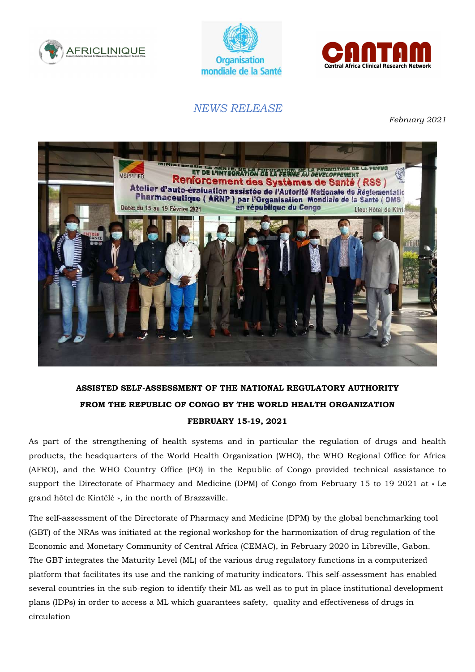





## NEWS RELEASE

February 2021



## ASSISTED SELF-ASSESSMENT OF THE NATIONAL REGULATORY AUTHORITY FROM THE REPUBLIC OF CONGO BY THE WORLD HEALTH ORGANIZATION FEBRUARY 15-19, 2021

As part of the strengthening of health systems and in particular the regulation of drugs and health products, the headquarters of the World Health Organization (WHO), the WHO Regional Office for Africa (AFRO), and the WHO Country Office (PO) in the Republic of Congo provided technical assistance to support the Directorate of Pharmacy and Medicine (DPM) of Congo from February 15 to 19 2021 at « Le grand hôtel de Kintélé », in the north of Brazzaville.

The self-assessment of the Directorate of Pharmacy and Medicine (DPM) by the global benchmarking tool (GBT) of the NRAs was initiated at the regional workshop for the harmonization of drug regulation of the Economic and Monetary Community of Central Africa (CEMAC), in February 2020 in Libreville, Gabon. The GBT integrates the Maturity Level (ML) of the various drug regulatory functions in a computerized platform that facilitates its use and the ranking of maturity indicators. This self-assessment has enabled several countries in the sub-region to identify their ML as well as to put in place institutional development plans (IDPs) in order to access a ML which guarantees safety, quality and effectiveness of drugs in circulation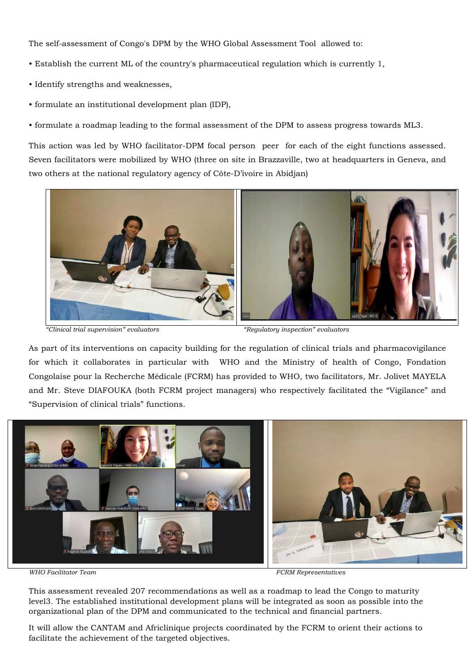The self-assessment of Congo's DPM by the WHO Global Assessment Tool allowed to:

- Establish the current ML of the country's pharmaceutical regulation which is currently 1,
- Identify strengths and weaknesses,
- formulate an institutional development plan (IDP),

• formulate a roadmap leading to the formal assessment of the DPM to assess progress towards ML3.

This action was led by WHO facilitator-DPM focal person peer for each of the eight functions assessed. Seven facilitators were mobilized by WHO (three on site in Brazzaville, two at headquarters in Geneva, and two others at the national regulatory agency of Côte-D'ivoire in Abidjan)



"Clinical trial supervision" evaluators "Regulatory inspection" evaluators

As part of its interventions on capacity building for the regulation of clinical trials and pharmacovigilance for which it collaborates in particular with WHO and the Ministry of health of Congo, Fondation Congolaise pour la Recherche Médicale (FCRM) has provided to WHO, two facilitators, Mr. Jolivet MAYELA and Mr. Steve DIAFOUKA (both FCRM project managers) who respectively facilitated the "Vigilance" and "Supervision of clinical trials" functions.



WHO Facilitator Team  $FCRM$  Representatives

This assessment revealed 207 recommendations as well as a roadmap to lead the Congo to maturity level3. The established institutional development plans will be integrated as soon as possible into the organizational plan of the DPM and communicated to the technical and financial partners.

It will allow the CANTAM and Africlinique projects coordinated by the FCRM to orient their actions to facilitate the achievement of the targeted objectives.